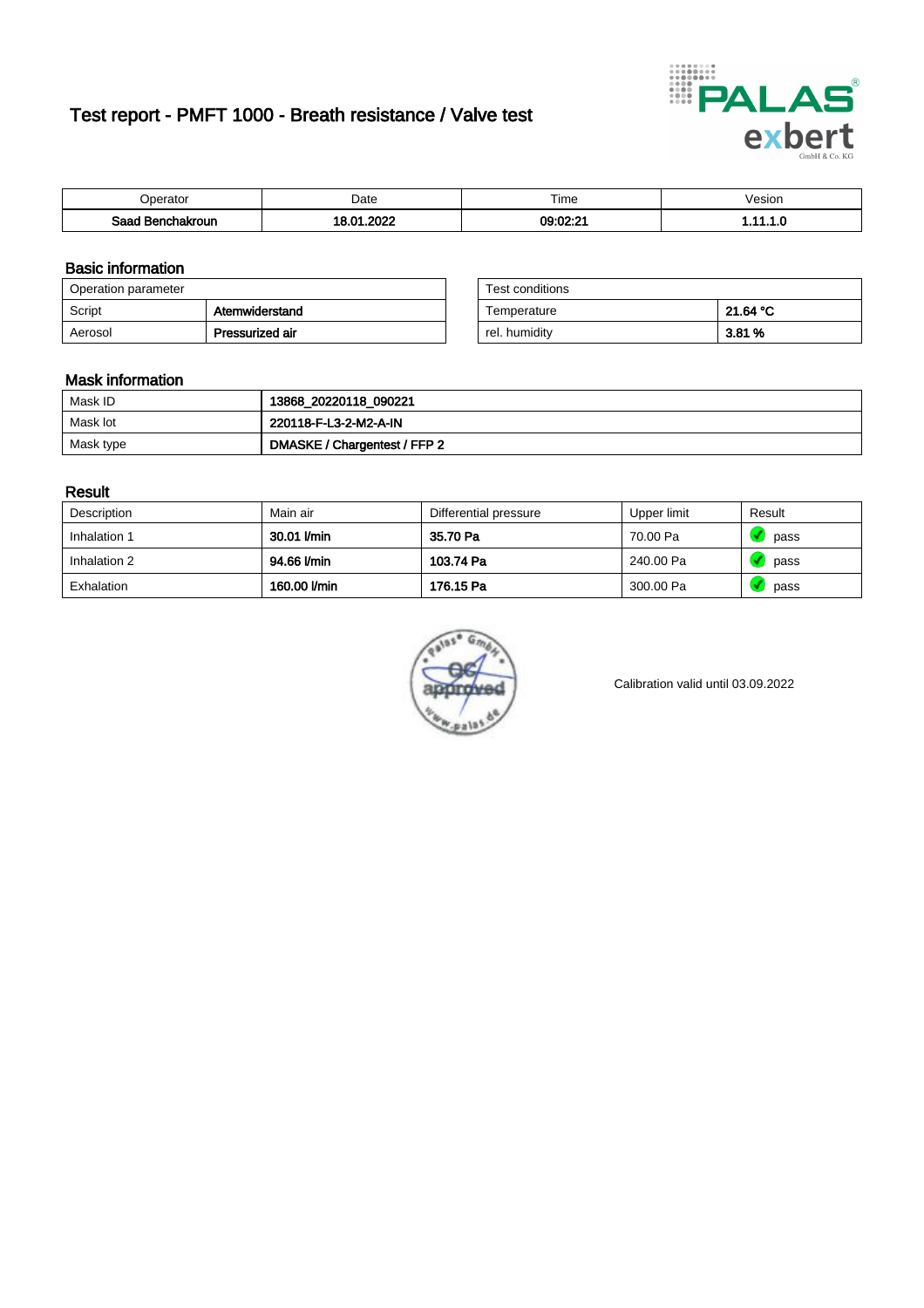# Test report - PMFT 1000 - Breath resistance / Valve test



| )perator               | Date               | $- \cdot$<br>i ime | esion |
|------------------------|--------------------|--------------------|-------|
| המס<br>hakroun<br>32 H | oooo<br>n.<br>---- | 09:02:21           | .     |

### Basic information

| Operation parameter |                 | Test conditions |          |
|---------------------|-----------------|-----------------|----------|
| Script              | Atemwiderstand  | Temperature     | 21.64 °C |
| Aerosol             | Pressurized air | rel. humidity   | 3.81 %   |

| Test conditions |          |
|-----------------|----------|
| Temperature     | 21.64 °C |
| rel. humidity   | 3.81 %   |

#### Mask information

| Mask ID   | 13868_20220118_090221        |
|-----------|------------------------------|
| Mask lot  | 220118-F-L3-2-M2-A-IN        |
| Mask type | DMASKE / Chargentest / FFP 2 |

#### Result

| Description  | Main air     | Differential pressure | Upper limit | Result |
|--------------|--------------|-----------------------|-------------|--------|
| Inhalation 1 | 30.01 l/min  | 35.70 Pa              | 70.00 Pa    | pass   |
| Inhalation 2 | 94.66 l/min  | 103.74 Pa             | 240.00 Pa   | pass   |
| Exhalation   | 160.00 l/min | 176.15 Pa             | 300.00 Pa   | pass   |



Calibration valid until 03.09.2022